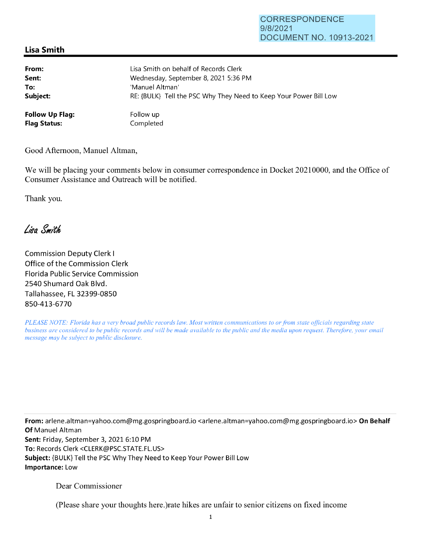## **Lisa Smith**

| From:                  | Lisa Smith on behalf of Records Clerk                             |
|------------------------|-------------------------------------------------------------------|
| Sent:                  | Wednesday, September 8, 2021 5:36 PM                              |
| To:                    | 'Manuel Altman'                                                   |
| Subject:               | RE: {BULK} Tell the PSC Why They Need to Keep Your Power Bill Low |
| <b>Follow Up Flag:</b> | Follow up                                                         |
| <b>Flag Status:</b>    | Completed                                                         |

Good Afternoon, Manuel Altman,

We will be placing your comments below in consumer correspondence in Docket 20210000, and the Office of Consumer Assistance and Outreach will be notified.

Thank you.

Lisa Smith

Commission Deputy Clerk I Office of the Commission Clerk Florida Public Service Commission 2540 Shumard Oak Blvd. Tallahassee, FL 32399-0850 850-413-6770

*PLEASE NOTE: Florida has a very broad public records law. Most written communications to or from state officials regarding state business are considered to be public records and will be made available to the public and the media upon request. Therefore, your email message may be subject to public disclosure.* 

**From:** arlene.altman=yahoo.com@mg.gospringboard.io <arlene.altman=yahoo.com@mg.gospringboard.io> **On Behalf Of** Manuel Altman **Sent:** Friday, September 3, 2021 6:10 PM **To:** Records Clerk <CLERK@PSC.STATE.FL.US> **Subject:** {BULK} Tell the PSC Why They Need to Keep Your Power Bill Low **Importance:** Low

Dear Commissioner

(Please share your thoughts here.)rate hikes are unfair to senior citizens on fixed income